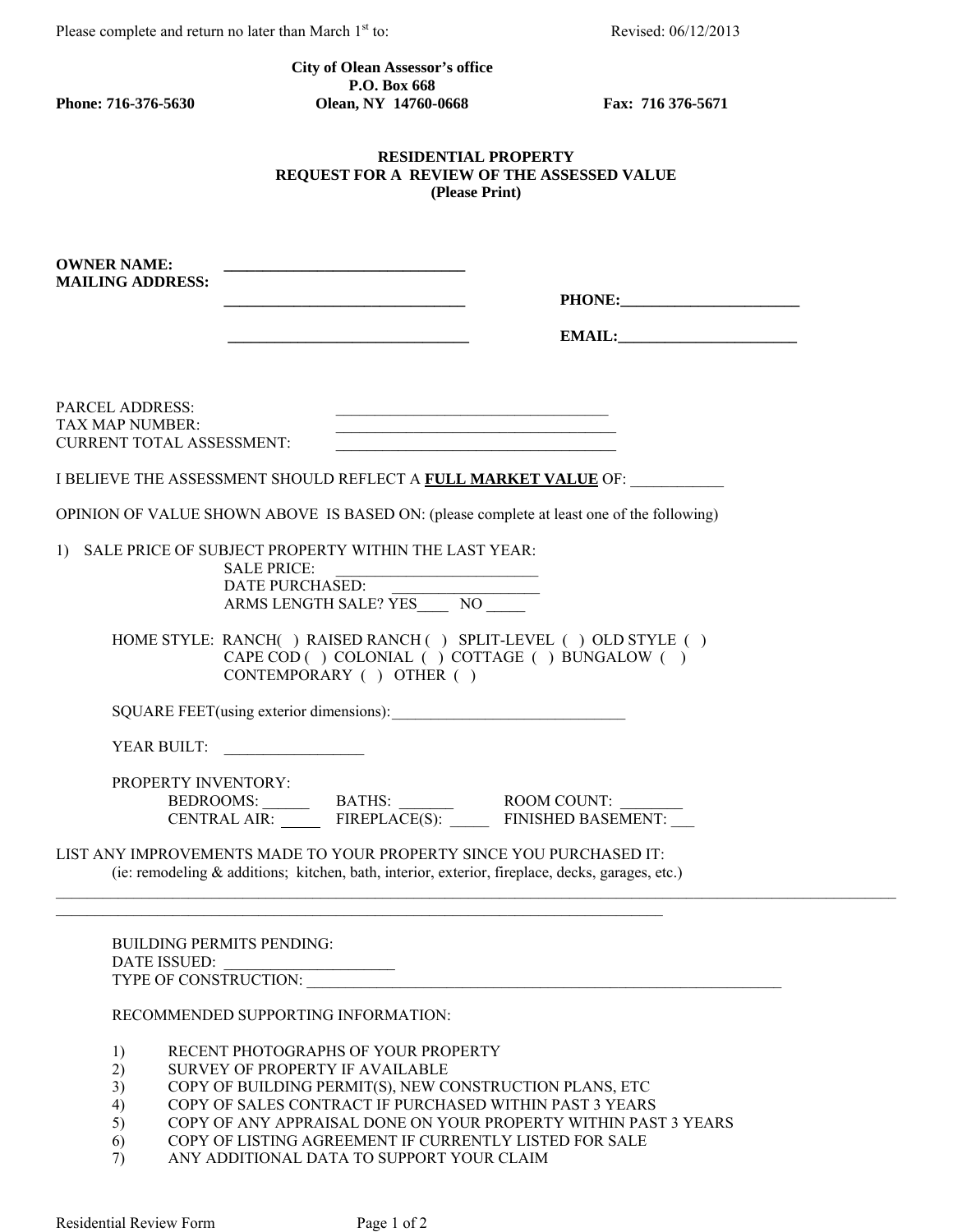Please complete and return no later than March 1<sup>st</sup> to: Revised: 06/12/2013

 **City of Olean Assessor's office P.O. Box 668**<br> **Phone: 716-376-5630**<br> **Clean, NY 14760-4 Phone: 716-376-5630 Olean, NY 14760-0668 Fax: 716 376-5671** 

## **RESIDENTIAL PROPERTY REQUEST FOR A REVIEW OF THE ASSESSED VALUE (Please Print)**

| <b>OWNER NAME:</b><br><b>MAILING ADDRESS:</b>                                                                                                                                                                                                                                                                                                                                                                    |
|------------------------------------------------------------------------------------------------------------------------------------------------------------------------------------------------------------------------------------------------------------------------------------------------------------------------------------------------------------------------------------------------------------------|
| <b>PARCEL ADDRESS:</b><br><u> 1989 - Johann John Stone, mars eta bainar eta baina eta baina eta baina eta baina eta baina eta baina eta bain</u><br>TAX MAP NUMBER:<br>CURRENT TOTAL ASSESSMENT:                                                                                                                                                                                                                 |
| I BELIEVE THE ASSESSMENT SHOULD REFLECT A FULL MARKET VALUE OF:                                                                                                                                                                                                                                                                                                                                                  |
| OPINION OF VALUE SHOWN ABOVE IS BASED ON: (please complete at least one of the following)                                                                                                                                                                                                                                                                                                                        |
| SALE PRICE OF SUBJECT PROPERTY WITHIN THE LAST YEAR:<br>$\left  \right $<br><b>SALE PRICE:</b><br>DATE PURCHASED:<br>ARMS LENGTH SALE? YES________ NO________<br>HOME STYLE: RANCH() RAISED RANCH() SPLIT-LEVEL () OLD STYLE ()                                                                                                                                                                                  |
| CAPE COD ( ) COLONIAL ( ) COTTAGE ( ) BUNGALOW ( )<br>CONTEMPORARY ( ) OTHER ( )                                                                                                                                                                                                                                                                                                                                 |
| SQUARE FEET(using exterior dimensions):                                                                                                                                                                                                                                                                                                                                                                          |
| YEAR BUILT:                                                                                                                                                                                                                                                                                                                                                                                                      |
| <b>PROPERTY INVENTORY:</b><br>BEDROOMS: BATHS: ROOM COUNT: CENTRAL AIR: FIREPLACE(S): FINISHED BASEMENT:<br>LIST ANY IMPROVEMENTS MADE TO YOUR PROPERTY SINCE YOU PURCHASED IT:<br>(ie: remodeling & additions; kitchen, bath, interior, exterior, fireplace, decks, garages, etc.)                                                                                                                              |
|                                                                                                                                                                                                                                                                                                                                                                                                                  |
| <b>BUILDING PERMITS PENDING:</b><br>DATE ISSUED:<br>RECOMMENDED SUPPORTING INFORMATION:                                                                                                                                                                                                                                                                                                                          |
| RECENT PHOTOGRAPHS OF YOUR PROPERTY<br>1)<br>2)<br>SURVEY OF PROPERTY IF AVAILABLE<br>3)<br>COPY OF BUILDING PERMIT(S), NEW CONSTRUCTION PLANS, ETC<br>COPY OF SALES CONTRACT IF PURCHASED WITHIN PAST 3 YEARS<br>4)<br>5)<br>COPY OF ANY APPRAISAL DONE ON YOUR PROPERTY WITHIN PAST 3 YEARS<br>COPY OF LISTING AGREEMENT IF CURRENTLY LISTED FOR SALE<br>6)<br>ANY ADDITIONAL DATA TO SUPPORT YOUR CLAIM<br>7) |